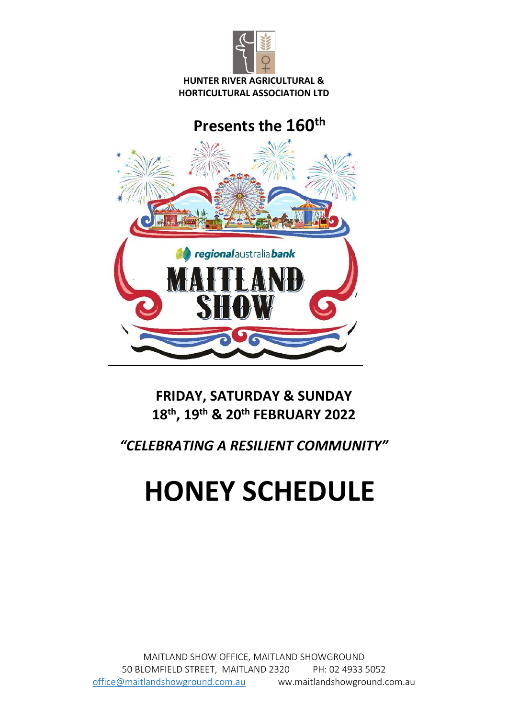

#### **HUNTER RIVER AGRICULTURAL & HORTICULTURAL ASSOCIATION LTD**

# **Presents the 160th**



## **FRIDAY, SATURDAY & SUNDAY 18 th , 19th & 20th FEBRUARY 2022**

*"CELEBRATING A RESILIENT COMMUNITY"*

# **HONEY SCHEDULE**

MAITLAND SHOW OFFICE, MAITLAND SHOWGROUND 50 BLOMFIELD STREET, MAITLAND 2320 PH: 02 4933 5052 [office@maitlandshowground.com.au](mailto:office@maitlandshowground.com.au) ww.maitlandshowground.com.au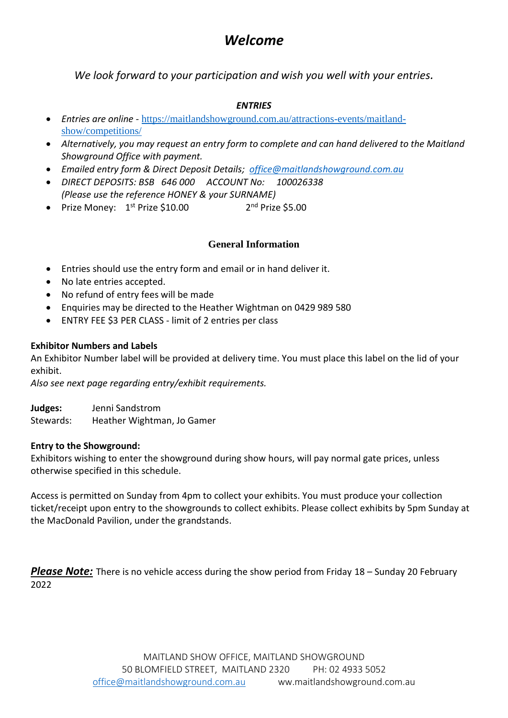## *Welcome*

*We look forward to your participation and wish you well with your entries.*

#### *ENTRIES*

- *Entries are online -* [https://maitlandshowground.com.au/attractions-events/maitland](https://maitlandshowground.com.au/attractions-events/maitland-show/competitions/)[show/competitions/](https://maitlandshowground.com.au/attractions-events/maitland-show/competitions/)
- *Alternatively, you may request an entry form to complete and can hand delivered to the Maitland Showground Office with payment.*
- *Emailed entry form & Direct Deposit Details; [office@maitlandshowground.com.au](mailto:office@maitlandshowground.com.au)*
- *DIRECT DEPOSITS: BSB 646 000 ACCOUNT No: 100026338 (Please use the reference HONEY & your SURNAME)*
- Prize Money:  $1<sup>st</sup>$  Prize \$10.00 2  $2<sup>nd</sup>$  Prize \$5.00

#### **General Information**

- Entries should use the entry form and email or in hand deliver it.
- No late entries accepted.
- No refund of entry fees will be made
- Enquiries may be directed to the Heather Wightman on 0429 989 580
- ENTRY FEE \$3 PER CLASS limit of 2 entries per class

#### **Exhibitor Numbers and Labels**

An Exhibitor Number label will be provided at delivery time. You must place this label on the lid of your exhibit.

*Also see next page regarding entry/exhibit requirements.*

**Judges:** Jenni Sandstrom Stewards: Heather Wightman, Jo Gamer

#### **Entry to the Showground:**

Exhibitors wishing to enter the showground during show hours, will pay normal gate prices, unless otherwise specified in this schedule.

Access is permitted on Sunday from 4pm to collect your exhibits. You must produce your collection ticket/receipt upon entry to the showgrounds to collect exhibits. Please collect exhibits by 5pm Sunday at the MacDonald Pavilion, under the grandstands.

*Please Note:* There is no vehicle access during the show period from Friday 18 – Sunday 20 February 2022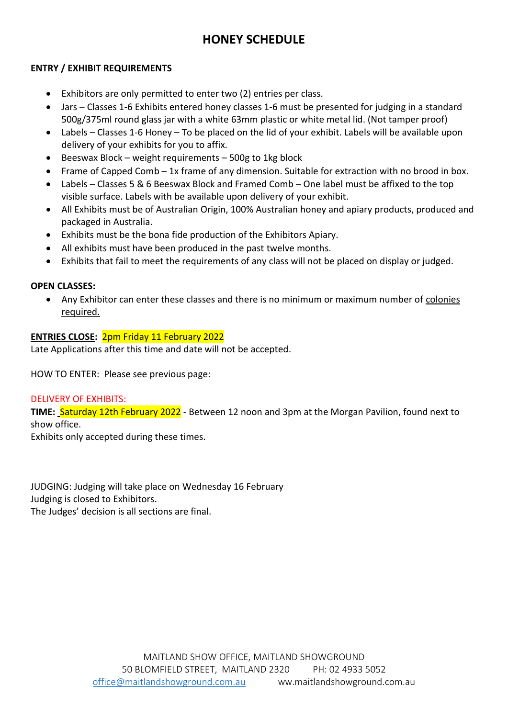## **HONEY SCHEDULE**

#### **ENTRY / EXHIBIT REQUIREMENTS**

- Exhibitors are only permitted to enter two (2) entries per class.
- Jars Classes 1-6 Exhibits entered honey classes 1-6 must be presented for judging in a standard 500g/375ml round glass jar with a white 63mm plastic or white metal lid. (Not tamper proof)
- Labels Classes 1-6 Honey To be placed on the lid of your exhibit. Labels will be available upon delivery of your exhibits for you to affix.
- Beeswax Block weight requirements 500g to 1kg block
- Frame of Capped Comb 1x frame of any dimension. Suitable for extraction with no brood in box.
- Labels Classes 5 & 6 Beeswax Block and Framed Comb One label must be affixed to the top visible surface. Labels with be available upon delivery of your exhibit.
- All Exhibits must be of Australian Origin, 100% Australian honey and apiary products, produced and packaged in Australia.
- Exhibits must be the bona fide production of the Exhibitors Apiary.
- All exhibits must have been produced in the past twelve months.
- Exhibits that fail to meet the requirements of any class will not be placed on display or judged.

#### **OPEN CLASSES:**

• Any Exhibitor can enter these classes and there is no minimum or maximum number of colonies required.

#### **ENTRIES CLOSE:** 2pm Friday 11 February 2022

Late Applications after this time and date will not be accepted.

HOW TO ENTER: Please see previous page:

#### DELIVERY OF EXHIBITS:

**TIME:** Saturday 12th February 2022 - Between 12 noon and 3pm at the Morgan Pavilion, found next to show office.

Exhibits only accepted during these times.

JUDGING: Judging will take place on Wednesday 16 February Judging is closed to Exhibitors.

The Judges' decision is all sections are final.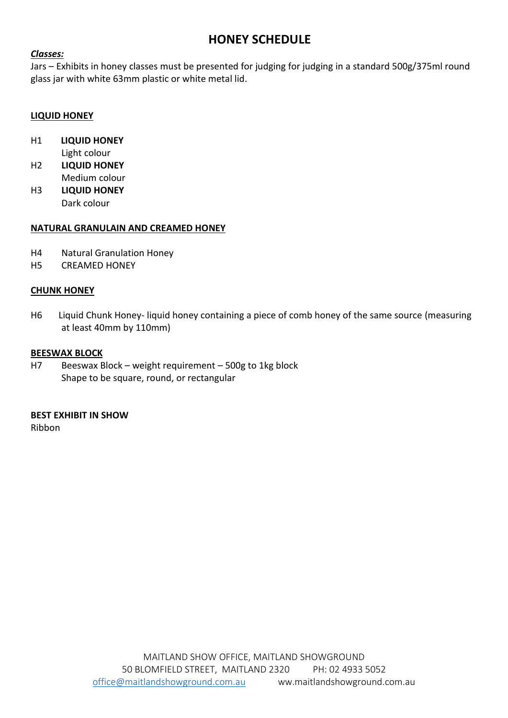### **HONEY SCHEDULE**

#### *Classes:*

Jars – Exhibits in honey classes must be presented for judging for judging in a standard 500g/375ml round glass jar with white 63mm plastic or white metal lid.

#### **LIQUID HONEY**

- H1 **LIQUID HONEY** Light colour
- H2 **LIQUID HONEY** Medium colour
- H3 **LIQUID HONEY** Dark colour

#### **NATURAL GRANULAIN AND CREAMED HONEY**

- H4 Natural Granulation Honey
- H5 CREAMED HONEY

#### **CHUNK HONEY**

H6 Liquid Chunk Honey- liquid honey containing a piece of comb honey of the same source (measuring at least 40mm by 110mm)

#### **BEESWAX BLOCK**

H7 Beeswax Block – weight requirement – 500g to 1kg block Shape to be square, round, or rectangular

#### **BEST EXHIBIT IN SHOW**

Ribbon